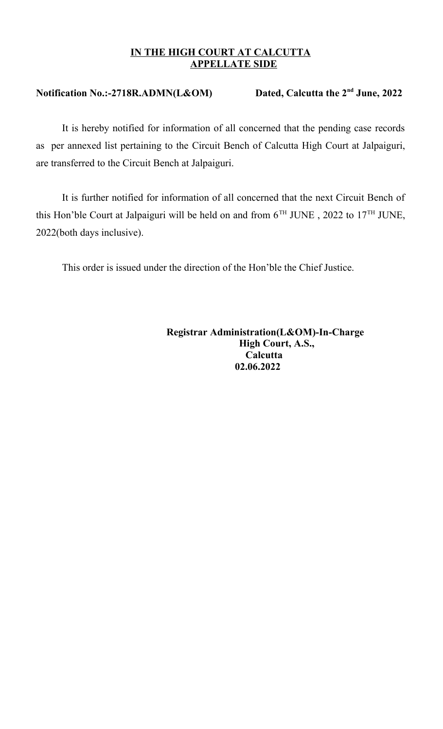## **IN THE HIGH COURT AT CALCUTTA APPELLATE SIDE**

## **Notification No.:-2718R.ADMN(L&OM) Dated, Calcutta the 2nd June, 2022**

It is hereby notified for information of all concerned that the pending case records as per annexed list pertaining to the Circuit Bench of Calcutta High Court at Jalpaiguri, are transferred to the Circuit Bench at Jalpaiguri.

It is further notified for information of all concerned that the next Circuit Bench of this Hon'ble Court at Jalpaiguri will be held on and from  $6^{TH}$  JUNE, 2022 to  $17^{TH}$  JUNE, 2022(both days inclusive).

This order is issued under the direction of the Hon'ble the Chief Justice.

 **Registrar Administration(L&OM)-In-Charge High Court, A.S., Calcutta 02.06.2022**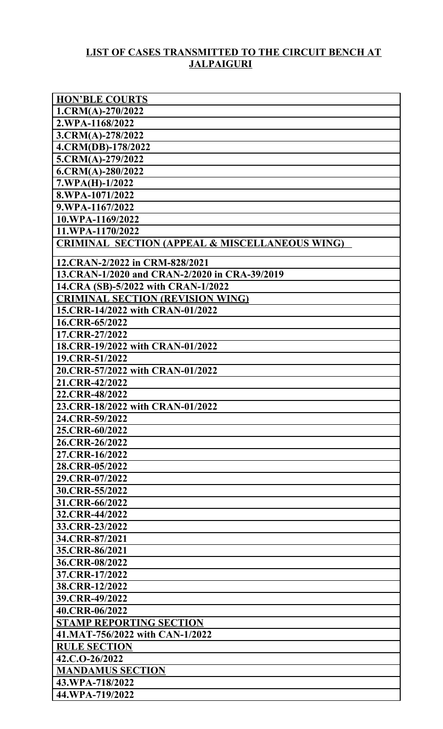## **LIST OF CASES TRANSMITTED TO THE CIRCUIT BENCH AT JALPAIGURI**

| <b>HON'BLE COURTS</b>                                     |
|-----------------------------------------------------------|
| $1.CRM(A)-270/2022$                                       |
| 2.WPA-1168/2022                                           |
| $3.CRM(A) - 278/2022$                                     |
| 4.CRM(DB)-178/2022                                        |
| $5.CRM(A)-279/2022$                                       |
| $6. CRM(A) - 280/2022$                                    |
| $7.WPA(H)-1/2022$                                         |
| 8.WPA-1071/2022                                           |
| 9.WPA-1167/2022                                           |
| 10.WPA-1169/2022                                          |
| 11.WPA-1170/2022                                          |
| <b>CRIMINAL SECTION (APPEAL &amp; MISCELLANEOUS WING)</b> |
|                                                           |
| 12.CRAN-2/2022 in CRM-828/2021                            |
| 13.CRAN-1/2020 and CRAN-2/2020 in CRA-39/2019             |
| 14.CRA (SB)-5/2022 with CRAN-1/2022                       |
| <b>CRIMINAL SECTION (REVISION WING)</b>                   |
| 15.CRR-14/2022 with CRAN-01/2022                          |
| 16.CRR-65/2022                                            |
| 17.CRR-27/2022                                            |
| 18.CRR-19/2022 with CRAN-01/2022                          |
| 19.CRR-51/2022                                            |
| 20.CRR-57/2022 with CRAN-01/2022                          |
| 21.CRR-42/2022                                            |
| 22.CRR-48/2022                                            |
| 23.CRR-18/2022 with CRAN-01/2022                          |
| 24.CRR-59/2022                                            |
| 25.CRR-60/2022                                            |
| 26.CRR-26/2022                                            |
| 27.CRR-16/2022                                            |
| 28.CRR-05/2022                                            |
| 29.CRR-07/2022                                            |
| 30.CRR-55/2022                                            |
| 31.CRR-66/2022                                            |
| 32.CRR-44/2022                                            |
| 33.CRR-23/2022                                            |
| 34.CRR-87/2021                                            |
| 35.CRR-86/2021                                            |
| 36.CRR-08/2022                                            |
| 37.CRR-17/2022                                            |
| 38.CRR-12/2022                                            |
| 39.CRR-49/2022                                            |
| 40.CRR-06/2022                                            |
| <b>STAMP REPORTING SECTION</b>                            |
| 41.MAT-756/2022 with CAN-1/2022                           |
| <b>RULE SECTION</b>                                       |
| 42.C.O-26/2022                                            |
| <b>MANDAMUS SECTION</b>                                   |
| 43.WPA-718/2022                                           |
| 44.WPA-719/2022                                           |
|                                                           |